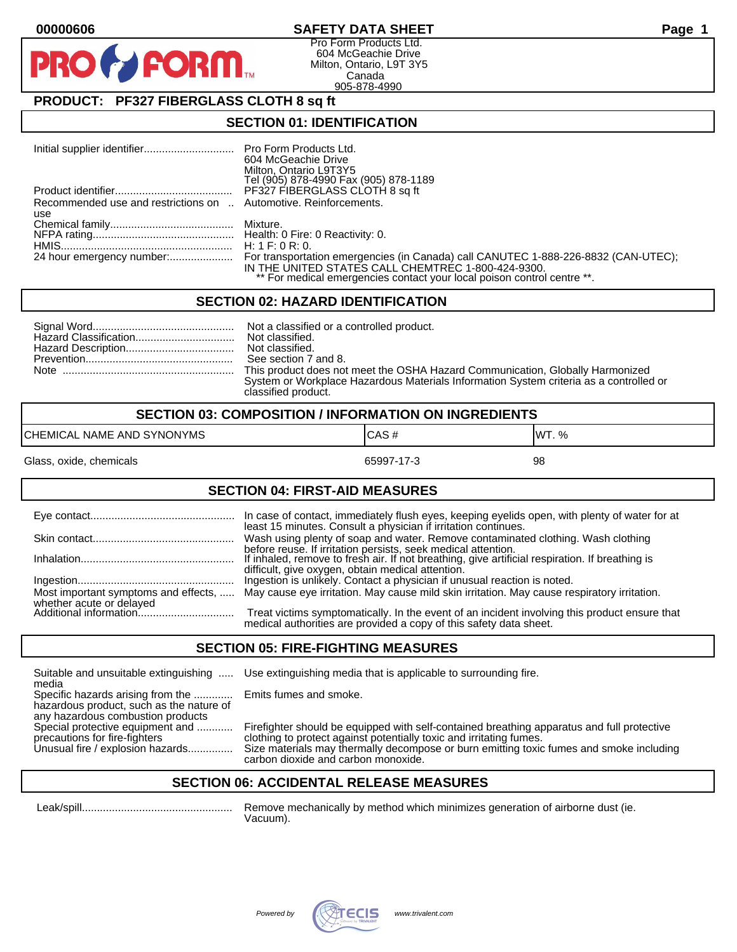## **00000606 SAFETY DATA SHEET Page 1**

Pro Form Products Ltd. 604 McGeachie Drive Milton, Ontario, L9T 3Y5 Canada 905-878-4990

# **PRODUCT: PF327 FIBERGLASS CLOTH 8 sq ft**

**FORM.** 

### **SECTION 01: IDENTIFICATION**

|                                                                  | 604 McGeachie Drive<br>Milton, Ontario L9T3Y5<br>Tel (905) 878-4990 Fax (905) 878-1189                                                                                                                              |
|------------------------------------------------------------------|---------------------------------------------------------------------------------------------------------------------------------------------------------------------------------------------------------------------|
|                                                                  | PF327 FIBERGLASS CLOTH 8 sq ft                                                                                                                                                                                      |
| Recommended use and restrictions on  Automotive. Reinforcements. |                                                                                                                                                                                                                     |
| use                                                              |                                                                                                                                                                                                                     |
|                                                                  | Mixture.                                                                                                                                                                                                            |
|                                                                  |                                                                                                                                                                                                                     |
|                                                                  | H: 1 F: 0 R: 0.                                                                                                                                                                                                     |
|                                                                  | For transportation emergencies (in Canada) call CANUTEC 1-888-226-8832 (CAN-UTEC);<br>IN THE UNITED STATES CALL CHEMTREC 1-800-424-9300.<br>** For medical emergencies contact your local poison control centre **. |

#### **SECTION 02: HAZARD IDENTIFICATION**

| See section 7 and 8.                                                                   |
|----------------------------------------------------------------------------------------|
| This product does not meet the OSHA Hazard Communication, Globally Harmonized          |
| System or Workplace Hazardous Materials Information System criteria as a controlled or |
| classified product.                                                                    |

| <b>SECTION 03: COMPOSITION / INFORMATION ON INGREDIENTS</b> |            |        |
|-------------------------------------------------------------|------------|--------|
| CHEMICAL NAME AND SYNONYMS                                  | ICAS#      | IWT. % |
| Glass, oxide, chemicals                                     | 65997-17-3 | 98     |

#### **SECTION 04: FIRST-AID MEASURES**

|                                                    | In case of contact, immediately flush eyes, keeping eyelids open, with plenty of water for at<br>least 15 minutes. Consult a physician if irritation continues.     |
|----------------------------------------------------|---------------------------------------------------------------------------------------------------------------------------------------------------------------------|
|                                                    | Wash using plenty of soap and water. Remove contaminated clothing. Wash clothing<br>before reuse. If irritation persists, seek medical attention.                   |
|                                                    | If inhaled, remove to fresh air. If not breathing, give artificial respiration. If breathing is<br>difficult, give oxygen, obtain medical attention.                |
|                                                    | Ingestion is unlikely. Contact a physician if unusual reaction is noted.                                                                                            |
| Most important symptoms and effects,               | May cause eye irritation. May cause mild skin irritation. May cause respiratory irritation.                                                                         |
| whether acute or delayed<br>Additional information | Treat victims symptomatically. In the event of an incident involving this product ensure that<br>medical authorities are provided a copy of this safety data sheet. |

#### **SECTION 05: FIRE-FIGHTING MEASURES**

Suitable and unsuitable extinguishing ..... Use extinguishing media that is applicable to surrounding fire. media

Specific hazards arising from the ............. Emits fumes and smoke. hazardous product, such as the nature of any hazardous combustion products<br>Special protective equipment and ............

Special protective equipment and ............ Firefighter should be equipped with self-contained breathing apparatus and full protective<br>precautions for fire-fighters on the clothing to protect against potentially toxic an precautions for fire-fighters clothing to protect against potentially toxic and irritating fumes.<br>Unusual fire / explosion hazards................ Size materials may thermally decompose or burn emitting toxic Size materials may thermally decompose or burn emitting toxic fumes and smoke including carbon dioxide and carbon monoxide.

## **SECTION 06: ACCIDENTAL RELEASE MEASURES**

 Leak/spill.................................................. Remove mechanically by method which minimizes generation of airborne dust (ie. Vacuum).

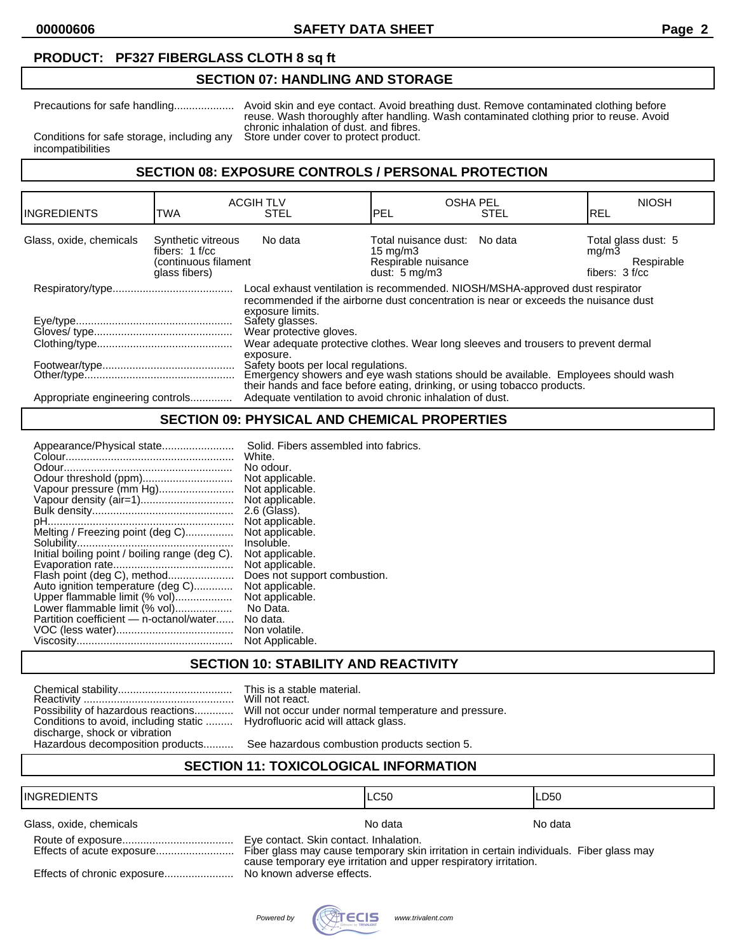**00000606 SAFETY DATA SHEET Page 2**

## **PRODUCT: PF327 FIBERGLASS CLOTH 8 sq ft**

#### **SECTION 07: HANDLING AND STORAGE**

Precautions for safe handling.................... Avoid skin and eye contact. Avoid breathing dust. Remove contaminated clothing before reuse. Wash thoroughly after handling. Wash contaminated clothing prior to reuse. Avoid chronic inhalation of dust. and fibres.<br>Store under cover to protect product.

Conditions for safe storage, including any incompatibilities

## **SECTION 08: EXPOSURE CONTROLS / PERSONAL PROTECTION**

| <b>INGREDIENTS</b>               | TWA                                                                             | <b>ACGIH TLV</b><br><b>STEL</b>                                                                                                                                                                                                                                                                                                                                                                                                                                                                                                                                                                                 | <b>OSHA PEL</b><br>PEL                                                                               | <b>STEL</b> | <b>NIOSH</b><br>IREL                                         |
|----------------------------------|---------------------------------------------------------------------------------|-----------------------------------------------------------------------------------------------------------------------------------------------------------------------------------------------------------------------------------------------------------------------------------------------------------------------------------------------------------------------------------------------------------------------------------------------------------------------------------------------------------------------------------------------------------------------------------------------------------------|------------------------------------------------------------------------------------------------------|-------------|--------------------------------------------------------------|
| Glass, oxide, chemicals          | Synthetic vitreous<br>fibers: $1 f/cc$<br>(continuous filament<br>glass fibers) | No data                                                                                                                                                                                                                                                                                                                                                                                                                                                                                                                                                                                                         | Total nuisance dust: No data<br>$15 \text{ mg/m}$<br>Respirable nuisance<br>dust: $5 \text{ mg/m}$ 3 |             | Total glass dust: 5<br>mq/m3<br>Respirable<br>fibers: 3 f/cc |
| Appropriate engineering controls |                                                                                 | Local exhaust ventilation is recommended. NIOSH/MSHA-approved dust respirator<br>recommended if the airborne dust concentration is near or exceeds the nuisance dust<br>exposure limits.<br>Safety glasses.<br>Wear protective gloves.<br>Wear adequate protective clothes. Wear long sleeves and trousers to prevent dermal<br>exposure.<br>Safety boots per local regulations.<br>Emergency showers and eye wash stations should be available. Employees should wash<br>their hands and face before eating, drinking, or using tobacco products.<br>Adequate ventilation to avoid chronic inhalation of dust. |                                                                                                      |             |                                                              |

# **SECTION 09: PHYSICAL AND CHEMICAL PROPERTIES**

| Appearance/Physical state                      | Solid. Fibers assembled into fabrics. |
|------------------------------------------------|---------------------------------------|
|                                                | White.                                |
|                                                | No odour.                             |
| Odour threshold (ppm)                          | Not applicable.                       |
| Vapour pressure (mm Hg)                        | Not applicable.                       |
|                                                | Not applicable.                       |
|                                                | 2.6 (Glass).                          |
|                                                | Not applicable.                       |
| Melting / Freezing point (deg C)               | Not applicable.                       |
|                                                | Insoluble.                            |
| Initial boiling point / boiling range (deg C). | Not applicable.                       |
|                                                | Not applicable.                       |
| Flash point (deg C), method                    | Does not support combustion.          |
| Auto ignition temperature (deg C)              | Not applicable.                       |
| Upper flammable limit (% vol)                  | Not applicable.                       |
| Lower flammable limit (% vol)                  | No Data.                              |
| Partition coefficient — n-octanol/water        | No data.                              |
|                                                | Non volatile.                         |
|                                                | Not Applicable.                       |
|                                                |                                       |

#### **SECTION 10: STABILITY AND REACTIVITY**

| Possibility of hazardous reactions    |
|---------------------------------------|
| Conditions to avoid, including static |
| discharge, shock or vibration         |
| Hazardous decomposition products      |

This is a stable material. Will not react. Will not occur under normal temperature and pressure. Hydrofluoric acid will attack glass.

See hazardous combustion products section 5.

## **SECTION 11: TOXICOLOGICAL INFORMATION**

#### INGREDIENTS LC50 LD50

Glass, oxide, chemicals Note and America Control of the North American Note and America North America North America North America North America North America North America North America North America North America North Am

| Effects of acute exposure |
|---------------------------|
|                           |

Eye contact. Skin contact. Inhalation.

Fiber glass may cause temporary skin irritation in certain individuals. Fiber glass may cause temporary eye irritation and upper respiratory irritation.

Effects of chronic exposure....................... No known adverse effects.